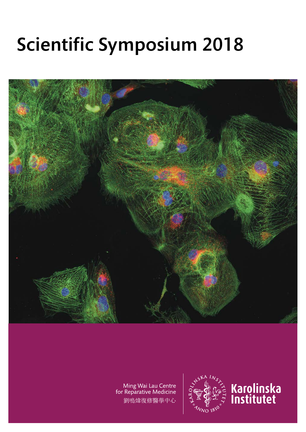## Scientific Symposium 2018



Ming Wai Lau Centre<br>for Reparative Medicine 劉鳴煒復修醫學中心



# Karolinska<br>Institutet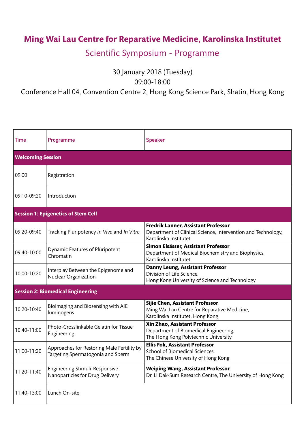### **Ming Wai Lau Centre for Reparative Medicine, Karolinska Institutet**

#### Scientific Symposium - Programme

30 January 2018 (Tuesday)

Conference Hall 04, Convention Centre 2, Hong Kong Science Park, Shatin, Hong Kong

09:00-18:00

| <b>Time</b>                                | Programme                                                                       | <b>Speaker</b>                                                                                                                      |
|--------------------------------------------|---------------------------------------------------------------------------------|-------------------------------------------------------------------------------------------------------------------------------------|
| <b>Welcoming Session</b>                   |                                                                                 |                                                                                                                                     |
| 09:00                                      | Registration                                                                    |                                                                                                                                     |
| 09:10-09:20                                | Introduction                                                                    |                                                                                                                                     |
| <b>Session 1: Epigenetics of Stem Cell</b> |                                                                                 |                                                                                                                                     |
| 09:20-09:40                                | Tracking Pluripotency In Vivo and In Vitro                                      | <b>Fredrik Lanner, Assistant Professor</b><br>Department of Clinical Science, Intervention and Technology,<br>Karolinska Institutet |
| 09:40-10:00                                | Dynamic Features of Pluripotent<br>Chromatin                                    | Simon Elsässer, Assistant Professor<br>Department of Medical Biochemistry and Biophysics,<br>Karolinska Institutet                  |
| 10:00-10:20                                | Interplay Between the Epigenome and<br><b>Nuclear Organization</b>              | Danny Leung, Assistant Professor<br>Division of Life Science,<br>Hong Kong University of Science and Technology                     |
| <b>Session 2: Biomedical Engineering</b>   |                                                                                 |                                                                                                                                     |
| 10:20-10:40                                | Bioimaging and Biosensing with AIE<br>luminogens                                | <b>Sijie Chen, Assistant Professor</b><br>Ming Wai Lau Centre for Reparative Medicine,<br>Karolinska Institutet, Hong Kong          |
| 10:40-11:00                                | Photo-Crosslinkable Gelatin for Tissue<br>Engineering                           | <b>Xin Zhao, Assistant Professor</b><br>Department of Biomedical Engineering,<br>The Hong Kong Polytechnic University               |
| 11:00-11:20                                | Approaches for Restoring Male Fertility by<br>Targeting Spermatogonia and Sperm | <b>Ellis Fok, Assistant Professor</b><br><b>School of Biomedical Sciences,</b><br>The Chinese University of Hong Kong               |
| 11:20-11:40                                | <b>Engineering Stimuli-Responsive</b><br>Nanoparticles for Drug Delivery        | <b>Weiping Wang, Assistant Professor</b><br>Dr. Li Dak-Sum Research Centre, The University of Hong Kong                             |
| 11:40-13:00                                | Lunch On-site                                                                   |                                                                                                                                     |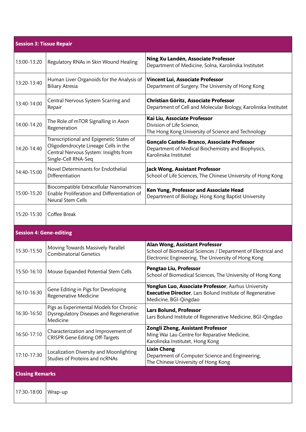| <b>Session 3: Tissue Repair</b> |                                                                                                                                                  |                                                                                                                                                              |  |
|---------------------------------|--------------------------------------------------------------------------------------------------------------------------------------------------|--------------------------------------------------------------------------------------------------------------------------------------------------------------|--|
| 13:00-13:20                     | <b>Regulatory RNAs in Skin Wound Healing</b>                                                                                                     | Ning Xu Landén, Associate Professor<br>Department of Medicine, Solna, Karolinska Institutet                                                                  |  |
| 13:20-13:40                     | Human Liver Organoids for the Analysis of<br><b>Biliary Atresia</b>                                                                              | <b>Vincent Lui, Associate Professor</b><br>Department of Surgery, The University of Hong Kong                                                                |  |
| 13:40-14:00                     | Central Nervous System Scarring and<br>Repair                                                                                                    | <b>Christian Göritz, Associate Professor</b><br>Department of Cell and Molecular Biology, Karolinska Institutet                                              |  |
| 14:00-14:20                     | The Role of mTOR Signalling in Axon<br>Regeneration                                                                                              | Kai Liu, Associate Professor<br>Division of Life Science,<br>The Hong Kong University of Science and Technology                                              |  |
| 14:20-14:40                     | Transcriptional and Epigenetic States of<br>Oligodendrocyte Lineage Cells in the<br>Central Nervous System: Insights from<br>Single-Cell RNA-Seq | Gonçalo Castelo-Branco, Associate Professor<br>Department of Medical Biochemistry and Biophysics,<br>Karolinska Institutet                                   |  |
| 14:40-15:00                     | Novel Determinants for Endothelial<br>Differentiation                                                                                            | Jack Wong, Assistant Professor<br>School of Life Sciences, The Chinese University of Hong Kong                                                               |  |
| 15:00-15:20                     | <b>Biocompatible Extracellular Nanomatrices</b><br>Enable Proliferation and Differentiation of<br><b>Neural Stem Cells</b>                       | Ken Yung, Professor and Associate Head<br>Department of Biology, Hong Kong Baptist University                                                                |  |
| 15:20-15:30                     | Coffee Break                                                                                                                                     |                                                                                                                                                              |  |
| <b>Session 4: Gene-editing</b>  |                                                                                                                                                  |                                                                                                                                                              |  |
| 15:30-15:50                     | Moving Towards Massively Parallel<br><b>Combinatorial Genetics</b>                                                                               | <b>Alan Wong, Assistant Professor</b><br>School of Biomedical Sciences / Department of Electrical and<br>Electronic Engineering, The University of Hong Kong |  |
| 15:50-16:10                     | Mouse Expanded Potential Stem Cells                                                                                                              | Pengtao Liu, Professor<br>School of Biomedical Sciences, The University of Hong Kong                                                                         |  |
| 16:10-16:30                     | Gene Editing in Pigs for Developing<br><b>Regenerative Medicine</b>                                                                              | Yonglun Luo, Associate Professor, Aarhus University<br><b>Executive Director, Lars Bolund Institute of Regenerative</b><br>Medicine, BGI-Qingdao             |  |
| 16:30-16:50                     | Pigs as Experimental Models for Chronic<br><b>Dysregulatory Diseases and Regenerative</b><br>Medicine                                            | <b>Lars Bolund, Professor</b><br>Lars Bolund Institute of Regenerative Medicine, BGI-Qingdao                                                                 |  |
| 16:50-17:10                     | Characterization and Improvement of<br><b>CRISPR Gene Editing Off-Targets</b>                                                                    | <b>Zongli Zheng, Assistant Professor</b><br>Ming Wai Lau Centre for Reparative Medicine,<br>Karolinska Institutet, Hong Kong                                 |  |
| 17:10-17:30                     | Localization Diversity and Moonlighting<br><b>Studies of Proteins and ncRNAs</b>                                                                 | <b>Lixin Cheng</b><br>Department of Computer Science and Engineering,<br>The Chinese University of Hong Kong                                                 |  |
| <b>Closing Remarks</b>          |                                                                                                                                                  |                                                                                                                                                              |  |
| 17:30-18:00                     | Wrap-up                                                                                                                                          |                                                                                                                                                              |  |